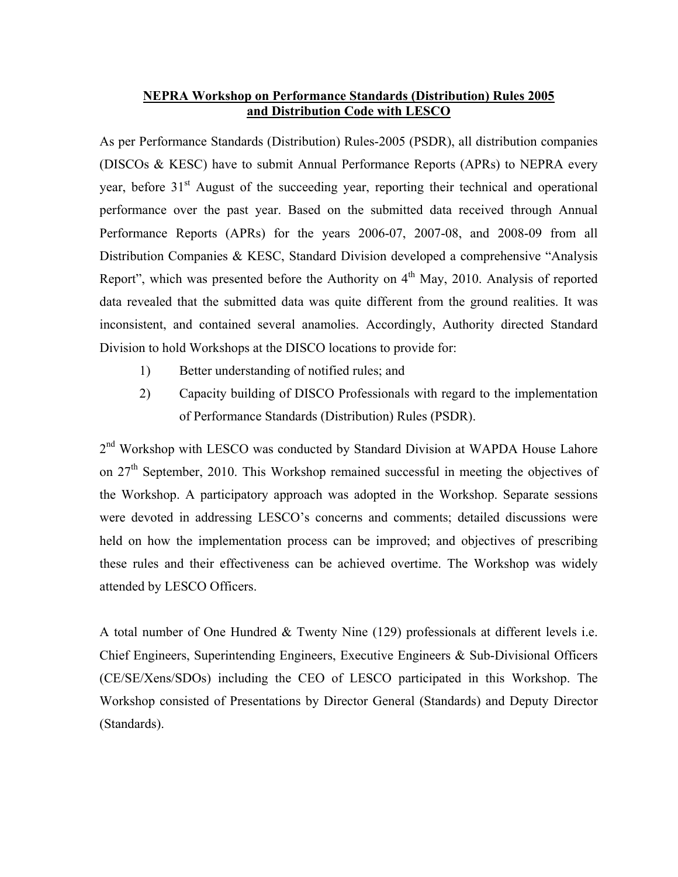## **NEPRA Workshop on Performance Standards (Distribution) Rules 2005 and Distribution Code with LESCO**

As per Performance Standards (Distribution) Rules-2005 (PSDR), all distribution companies (DISCOs & KESC) have to submit Annual Performance Reports (APRs) to NEPRA every year, before 31<sup>st</sup> August of the succeeding year, reporting their technical and operational performance over the past year. Based on the submitted data received through Annual Performance Reports (APRs) for the years 2006-07, 2007-08, and 2008-09 from all Distribution Companies & KESC, Standard Division developed a comprehensive "Analysis Report", which was presented before the Authority on  $4<sup>th</sup>$  May, 2010. Analysis of reported data revealed that the submitted data was quite different from the ground realities. It was inconsistent, and contained several anamolies. Accordingly, Authority directed Standard Division to hold Workshops at the DISCO locations to provide for:

- 1) Better understanding of notified rules; and
- 2) Capacity building of DISCO Professionals with regard to the implementation of Performance Standards (Distribution) Rules (PSDR).

2<sup>nd</sup> Workshop with LESCO was conducted by Standard Division at WAPDA House Lahore on  $27<sup>th</sup>$  September, 2010. This Workshop remained successful in meeting the objectives of the Workshop. A participatory approach was adopted in the Workshop. Separate sessions were devoted in addressing LESCO's concerns and comments; detailed discussions were held on how the implementation process can be improved; and objectives of prescribing these rules and their effectiveness can be achieved overtime. The Workshop was widely attended by LESCO Officers.

A total number of One Hundred & Twenty Nine (129) professionals at different levels i.e. Chief Engineers, Superintending Engineers, Executive Engineers & Sub-Divisional Officers (CE/SE/Xens/SDOs) including the CEO of LESCO participated in this Workshop. The Workshop consisted of Presentations by Director General (Standards) and Deputy Director (Standards).